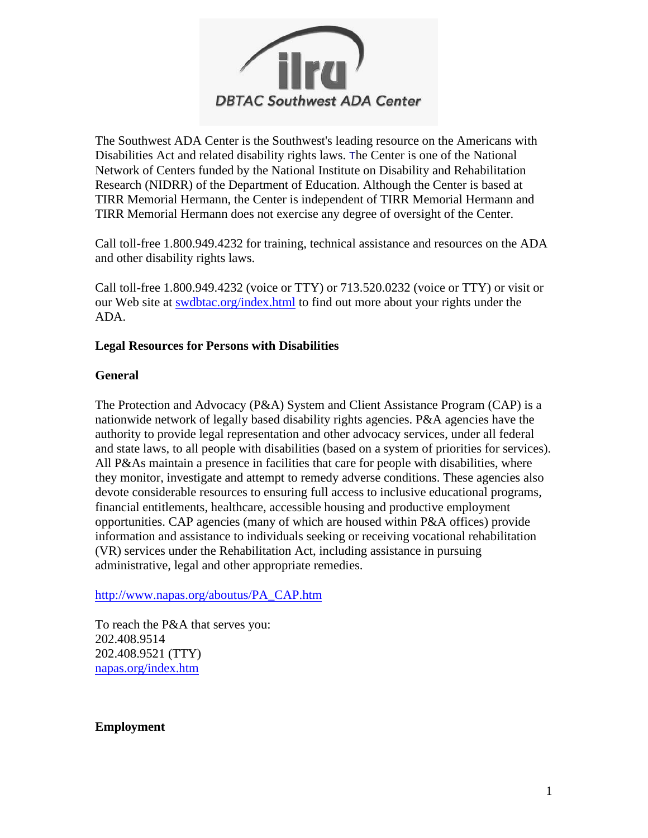

The Southwest ADA Center is the Southwest's leading resource on the Americans with Disabilities Act and related disability rights laws. The Center is one of the National Network of Centers funded by the National Institute on Disability and Rehabilitation Research (NIDRR ) of the Department of Education. Although the Center is based at TIRR Memorial Hermann, the Center is independent of TIRR Memorial Hermann and TIRR Memorial Hermann does not exercise any degree of oversight of the Center.

Call toll-free 1.800.949.4232 for training, technical assistance and resources on the ADA and other disability rights laws.

Call toll-free 1.800.949.4232 (voice or TTY) or 713.520.0232 (voice or TTY) or visit or our Web site at **[swdbtac.org/index.html](http://www.swdbtac.org/index.html)** to find out more about your rights under the ADA.

## **Legal Resources for Persons with Disabilities**

## **General**

The Protection and Advocacy (P&A) System and Client Assistance Program (CAP) is a nationwide network of legally based disability rights agencies. P&A agencies have the authority to provide legal representation and other advocacy services, under all federal and state laws, to all people with disabilities (based on a system of priorities for services). All P&As maintain a presence in facilities that care for people with disabilities, where they monitor, investigate and attempt to remedy adverse conditions. These agencies also devote considerable resources to ensuring full access to inclusive educational programs, financial entitlements, healthcare, accessible housing and productive employment opportunities. CAP agencies (many of which are housed within P&A offices) provide information and assistance to individuals seeking or receiving vocational rehabilitation (VR) services under the Rehabilitation Act, including assistance in pursuing administrative, legal and other appropriate remedies.

[http://www.napas.org/aboutus/PA\\_CAP.htm](http://www.napas.org/aboutus/PA_CAP.htm)

To reach the P&A that serves you: 202.408.9514 202.408.9521 (TTY) [napas.org/index.htm](http://www.napas.org/index.htm)

### **Employment**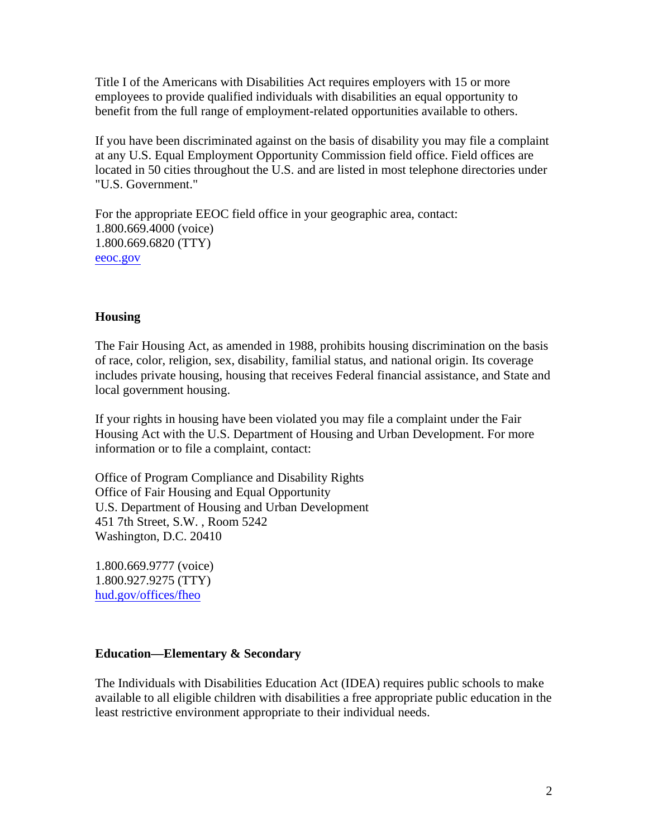Title I of the Americans with Disabilities Act requires employers with 15 or more employees to provide qualified individuals with disabilities an equal opportunity to benefit from the full range of employment-related opportunities available to others.

If you have been discriminated against on the basis of disability you may file a complaint at any U.S. Equal Employment Opportunity Commission field office. Field offices are located in 50 cities throughout the U.S. and are listed in most telephone directories under "U.S. Government."

For the appropriate EEOC field office in your geographic area, contact: 1.800.669.4000 (voice) 1.800.669.6820 (TTY) [eeoc.gov](http://www.eeoc.gov/)

## **Housing**

The Fair Housing Act, as amended in 1988, prohibits housing discrimination on the basis of race, color, religion, sex, disability, familial status, and national origin. Its coverage includes private housing, housing that receives Federal financial assistance, and State and local government housing.

If your rights in housing have been violated you may file a complaint under the Fair Housing Act with the U.S. Department of Housing and Urban Development. For more information or to file a complaint, contact:

Office of Program Compliance and Disability Rights Office of Fair Housing and Equal Opportunity U.S. Department of Housing and Urban Development 451 7th Street, S.W. , Room 5242 Washington, D.C. 20410

1.800.669.9777 (voice) 1.800.927.9275 (TTY) [hud.gov/offices/fheo](http://www.hud.gov/offices/fheo)

### **Education—Elementary & Secondary**

The Individuals with Disabilities Education Act (IDEA) requires public schools to make available to all eligible children with disabilities a free appropriate public education in the least restrictive environment appropriate to their individual needs.